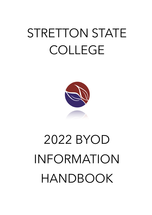## STRETTON STATE COLLEGE



# 2022 BYOD INFORMATION HANDBOOK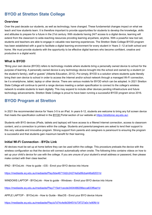## **BYOD at Stretton State College**

#### **Overview**

Over the past decade our students, as well as technology, have changed. These fundamental changes impact on what we teach and how students learn. It is therefore important to provide opportunities for students to develop the knowledge, skills and attitudes to prepare for a future in the 21st century. With students having 24/7 access to a digital device, learning will extend from the classroom to wide-reaching resources providing learning anywhere, anytime. With a powerful new tool set, students and teachers are able to engage in valuable new learning experiences. The Stretton State College BYOD program has been established with a goal to facilitate a digital learning environment for every student in Years 3 -12 at both school and home. We must provide students with the opportunity to be effective digital learners who become confident, creative and productive in a digital world.

#### **What is BYOD**

"Bring your own device (BYOD) refers to technology models where students bring a personally owned device to school for the purpose of learning. A personally owned device is any technology device brought into the school and owned by a student (or the student's family), staff or guests" (Alberta Education, 2012). Put simply, BYOD is a solution where students quite literally bring their own device to school in order to access the Internet and/or school network through a managed Wi-Fi connection, be it a smartphone, tablet, laptop or other device. There are various models for BYOD which can be adopted. In 2021 Stretton State College will continue to permit a range devices meeting a certain specification to connect to the college's wireless network to enable students to learn digitally. This may expand to include other devices pending infrastructure and future technology advancements. Stretton State College is proud to have been running a successful BYOD program since 2016.

### **BYOD Program at Stretton**

In 2021 the recommended device for Years 3-5 is an iPad. In years 6-12, students are welcome to bring any full screen device that meets the specification outlined in the BYOD Portal section of our website at <https://strettonsc.eq.edu.au/>.

Students with BYO devices (iPads, tablets and laptops) will have access to a filtered Internet connection, access to classroom content, and a connection to printers within the college. Students and parents/caregivers are asked to lend their support to this very valuable and innovative program. Strong support from parents and caregivers is paramount to ensuring the program is successful and that students gain maximum benefit for their learning.

#### **Initial Wi-Fi Connection - BYOx Link**

All devices must be set up at home before they can be used within the college. This procedure preloads the device with the wireless configuration so that the device will connect automatically when onsite. The following links contains videos on how to set up your child's device for use with the college. If you are unsure of your student's email address or password, then please make contact with their class teacher.

IPAD - BYOxLink - How to guide - iOS - Enrol your BYO device into Intune

<https://mediasite.eq.edu.au/mediasite/Play/bbe46710d2c24274a0a99cba446a92031d>

WINDOWS LAPTOP - BYOxLink - How to guide - Windows - Enrol your BYO device into Intune

<https://mediasite.eq.edu.au/mediasite/Play/715e41cecde3404488298ecca633f6ad1d>

APPLE LAPTOP - BYOxLink - How to Guide - MacOS - Enrol your BYO device Intune

<https://mediasite.eq.edu.au/mediasite/Play/a7d74c4e9d394f31b73f727a0c1e90fb1d>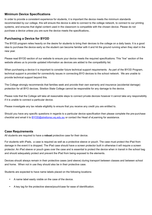#### **Minimum Device Specifications**

In order to provide a consistent experience for students, it is important the device meets the minimum standards recommended by our college, this will ensure the device is able to connect to the college network, to connect to our printing systems, and ensures that digital content used in the classroom is compatible with the chosen device. Please do not purchase a device unless you are sure the device meets the specifications..

#### **Purchasing a Device for BYOD**

The BYOD program relies heavily on the desire for students to bring their devices to the college on a daily basis. It is a good idea to purchase the device early so the student can become familiar with it and hit the ground running when they start in the new year.

Please read BYOD section of our website to ensure your device meets the required specifications. This "live" section of the website allows us to provide updated information as devices are added to the compatibility list.

When purchasing a device it is important to consider future technical support requirements. As part of the BYOD Program, technical support is provided for connectivity issues in connecting BYO devices to the school network. We are unable to provide technical support beyond this.

The College strongly recommends that families seek and provide their own warranty and insurance (accidental damage) protection for all BYO devices. Stretton State College cannot be responsible for any damage to the device.

Please note that the College will take all reasonable steps to connect private devices however it cannot take any responsibility if it is unable to connect a particular device.

Please investigate any tax rebate eligibility to ensure that you receive any credit you are entitled to.

Should you have any specific questions in regards to a particular device specification then please complete the pre-purchase checklist and email it to [BYOD@strettonsc.eq.edu.au](mailto:BYOD@strettonsc.eq.edu.au) or contact the Head of eLearning for assistance.

#### **Case Requirements**

All students are required to have a **robust** protective case for their device.

For students with iPads, a case is required as well as a protective sleeve or pouch. The case must protect the iPad from damage in the event it is dropped. The iPad case should have a screen protector built in otherwise it will require a screen protector. An iPad sleeve or pouch goes over the case and is essential to protect the device when in transit in the school bag and should adequately protect and prevent the iPad from being exposed to the elements.

Devices should always remain in their protective cases (and sleeve) during transport between classes and between school and home. When not in use they should also be in their protective case.

Students are expected to have name labels placed on the following locations:

- A name label easily visible on the case of the device.
- A key tag for the protective sleeve/pouch/case for ease of identification.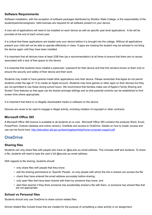#### **Software Requirements**

Software installation, with the exception of software packages distributed by Stretton State College, is the responsibility of the student/parents/caregivers. Valid licenses are required for all software present on your device.

A core set of applications will need to be installed on each device as well as specific year level applications. A list will be provided at the end of each school year.

It is critical that these applications are loaded onto your device before it is brought into the college. Without all applications present your child will not be able to operate effectively in class. If apps are missing the student may be advised to not bring the device again until they have been installed.

It is important that all devices have at least 2GB free (as a recommendation) at all times to ensure that there are no issues associated with a lack of free space on the device.

It is essential that students have created a passcode / password for their device and that this remains known to them only to ensure the security and safety of their device and their work.

Students may install or have parents install other applications onto their device. Please remember that Apple do not permit students under the age of 13 to create an Apple account. Students may have games or other apps on their devices but they are not permitted to use these during school hours. We recommend that families make use of Apple's Family Sharing and Screen Time features so that apps can be shared amongst siblings and so that parental controls can be established to limit screen time where appropriate.

It is important that there is no illegally downloaded media or software on the device.

Devices are never to be used to engage in illegal activity, including violation of copyright or other contracts.

#### **Microsoft Office 365**

A Microsoft Office 365 licence is available to all students at no cost. Microsoft Office 365 contains the products Word, Excel, PowerPoint, Outlook (desktop and online version), OneNote and access to OneDrive. Details on how to install, access and use can be found here: http://education.gld.gov.au/learningplace/help/home-computer-support.pdf

## **OneDrive**

#### **Sharing files**

Students can only share files with people who have an @eq.edu.au email address. This includes staff and students. To share a file, students will need to type the user's full @eq.edu.au email address.

With regards to file sharing, students should:

- only share files with people that they know;
- edit the sharing permissions to 'Specific People', so only people with whom the link is shared can access the file.
- check they have entered the email address accurately before sharing;
- only open files that have been shared with them by someone they know; and
- alert their teacher if they think someone has accidentally shared a file with them, or someone has shared files that are not appropriate.

#### **School vs Personal files**

Students should only use OneDrive to share school related files.

School related files include those that are created for the purpose of completing a class activity or an assignment.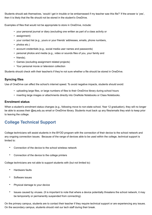Students should ask themselves, 'would I get in trouble or be embarrassed if my teacher saw this file?' If the answer is 'yes', then it is likely that the file should not be stored in the student's OneDrive.

Examples of files that would not be appropriate to store in OneDrive, include:

- your personal journal or diary (excluding one written as part of a class activity or
- assignment)
- your contact list (e.g., yours or your friends' addresses, emails, phone numbers,
- photos etc.)
- account credentials (e.g., social media user names and passwords)
- personal photos and media (e.g., video or sounds files of you, your family and
- friends).
- Games (excluding assignment related projects)
- Your personal movie or television collection

Students should check with their teacher/s if they're not sure whether a file should be stored in OneDrive.

#### **Syncing files**

Use of OneDrive can affect the school's internet speed. To avoid negative impacts, students should avoid:

- uploading large files, or large numbers of files to their OneDrive library during school hours
- inserting large images or attachments directly into OneNote Notebooks or Class Notebooks.

#### **Enrolment status**

When a student's enrolment status changes (e.g., following move to non-state school, Year 12 graduation), they will no longer be able to access their @eq.edu.au email or OneDrive library. Students must back up any files/emails they wish to keep prior to leaving the college.

## **College Technical Support**

College technicians will assist students in the BYOD program with the connection of their device to the school network and any ongoing connection issues. Because of the range of devices able to be used within the college, technical support is limited to:

- Connection of the device to the school wireless network
- Connection of the device to the college printers

College technicians are not able to support students with (but not limited to):

- Hardware faults
- Software issues
- Physical damage to your device
- Issues caused by viruses. (It is important to note that where a device potentially threatens the school network, it may be temporarily or permanently suspended from connecting).

On the primary campus, students are to contact their teacher if they require technical support or are experiencing any issues. On the secondary campus, students should visit our tech staff during their break.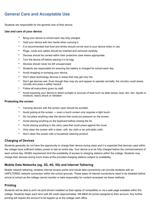## **General Care and Acceptable Use**

Students are responsible for the general care of their device.

#### **Use and care of your device**

- Bring your device to school each day fully charged.
- Hold your device with two hands when carrying it.
- It is recommended that food and drinks should not be next to your device when in use.
- Plugs, cords and cables should be inserted and removed carefully.
- Devices should be carried within their protective case where appropriate.
- Turn the device off before placing it in its bag.
- Devices should never be left unsupervised.
- Students are responsible for ensuring the battery is charged for school each day
- Avoid dropping or bumping your device.
- Don't place technology devices in areas that may get very hot.
- Don't get devices wet. Even though they may dry and appear to operate normally, the circuitry could slowly corrode and pose a safety hazard.
- Follow all instructions given by staff.
- Avoid exposing your device to direct sunlight or sources of heat such as desk lamps, dust, dirt, rain, liquids or moisture, heavy shock or vibration

#### **Protecting the screen**

- Carrying devices with the screen open should be avoided.
- Avoid poking at the screen even a touch screen only requires a light touch.
- Do not place anything near the device that could put pressure on the screen.
- Avoid placing anything on the keyboard before closing the lid.
- Avoid placing anything in the carry case that could press against the cover.
- Only clean the screen with a clean, soft, dry cloth or an anti-static cloth.
- Don't clean the screen with a household cleaning product.

#### **Charging of Devices**

Students generally do not have the opportunity to charge their device during class and it is expected that devices used within the college have sufficient battery power to last an entire day. Your device is to be fully charged before the commencement of each school day. WH&S requirement limit the availability of access to charging stations within the college. Students may charge their devices during lunch times at the provided charging stations subject to availability.

#### **Mobile Data Networks (eg, 3G, 4G, 5G) and Internet Tethering**

Mobile network tethering, wireless internet access points and inbuilt data connectivity can provide students with an UNFILTERED network connection within the school grounds. These types of internet connections need to be disabled before arrival at school as the college cannot monitor or take responsibly for content accessed via these methods.

#### **Printing**

Students will be able to print via print drivers installed on their laptop (if compatible) or via a web page available within the college. Students begin each term with \$5 credit (approximately 166 B&W A4 prints) assigned to their account. Any further printing will require the account to be topped up at the college cash office.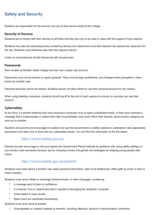## **Safety and Security**

Students are responsible for the security and use of their device whilst at the College.

#### **Security of Devices**

Students are to remain with their devices at all times and they are only to be used in class with the support of your teacher.

Students may take the sleeves/pouches containing devices into classrooms once their teacher has opened the classroom for the day. Students must otherwise stay with their bag and device.

Under no circumstances should devices be left unsupervised.

#### **Passwords**

Each student at Stretton State College has their own unique user account.

Passwords must not be obvious or easily guessed. They must be kept confidential, and changed when prompted or when known by another user.

Personal accounts cannot be shared. Students should not allow others to use their personal account for any reason.

When using desktop computers, students should log off at the end of each session to ensure no one else can use their account.

#### **Cybersafety**

At any time, if a student believes they have received a computer virus or spam (unsolicited email), or they have received a message that is inappropriate or makes them feel uncomfortable, they must inform their teacher, parent and/or caregiver as soon as is possible.

Students and parents are encouraged to explore and use the Government's e-safety website to understand, take appropriate precautions and learn how to deal with any cybersafety issues. You can find this information at the link below:

#### <https://www.esafety.gov.au/>

Parents are also encourage to visit and explore the Government iParent website for guidance with using safety settings on your family's web-connected devices, tips for choosing movies and games and strategies for keeping young people safe online.

#### <https://www.esafety.gov.au/parents>

Students must seek advice if another user seeks personal information, asks to be telephoned, offers gifts by email or asks to meet a student.

Students must never initiate or knowingly forward emails, or other messages, containing:

- A message sent to them in confidence
- A computer virus or attachment that is capable of damaging the recipients' computer
- Chain letters or hoax emails
- Spam (such as unsolicited advertising).

Students must never send or publish:

• Unacceptable or unlawful material or remarks, including offensive, abusive or discriminatory comments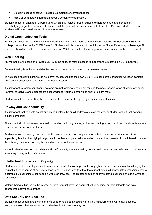- Sexually explicit or sexually suggestive material or correspondence
- False or defamatory information about a person or organisation.

Students must not engage in cyberbullying, which may include threats, bullying or harassment of another person. Cyberbullying, regardless of where it happens, will be dealt with in accordance with Education Queensland's Policies and incidents will be reported to the police where required.

#### **Digital Communication Tools**

For BYO Devices, we require that instant messaging and audio / video communication features **are not used within the college**, (as outlined in the BYOD Rules for Students) which includes but is not limited to Skype, Facebook, or iMessage. No attempts should be made to use such services on BYO devices within the college or whilst connected to the DET network.

#### **Web Filtering**

An internet filtering solution provides DET with the ability to restrict access to inappropriate material on DET's network.

Content filtering is active only whilst the device is connected to the school's wireless network.

To help keep students safe, we do not permit students to use their own 3G or 4G mobile data connection whilst on campus. Any content accessed in this manner will not be filtered.

It is important to remember filtering systems are not foolproof and do not replace the need for care when students are online. Parents, caregivers and students are encouraged to visit the e-safety site above to learn more.

Students must not use VPN software or similar to bypass or attempt to bypass filtering restrictions.

#### **Privacy and Confidentiality**

It is important that students do not publish or disclose the email address of a staff member or student without that person's explicit permission.

The student should not reveal personal information including names, addresses, photographs, credit card details or telephone numbers of themselves or others.

Students must not record, photograph or film any students or school personnel without the express permission of the supervising teacher. Identifying images, audio content and personal information must not be uploaded to the internet or leave the school (this information may be saved on the school server only).

It should also be ensured that privacy and confidentiality is maintained by not disclosing or using any information in a way that is contrary to any individual's interest.

#### **Intellectual Property and Copyright**

Students should never plagiarise information and shall observe appropriate copyright clearance, including acknowledging the original author or source of any information used. It is also important that the student obtain all appropriate permissions before electronically publishing other people's works or drawings. The creator or author of any material published should always be acknowledged.

Material being published on the internet or intranet must have the approval of the principal or their delegate and have appropriate copyright clearance.

#### **Data Security and Backups**

Students must understand the importance of backing up data securely. Should a hardware or software fault develop, assignment work that has taken a considerable time to prepare may be lost.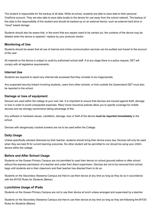The student is responsible for the backup of all data. While at school, students are able to save data to their personal OneDrive account. They are also able to save data locally to the device for use away from the school network. The backup of this data is the responsibility of the student and should be backed-up on an external device, such as external hard drive or "cloud" based storage.

Students should also be aware that, in the event that any repairs need to be carried out, the contents of the device may be deleted when the device is repaired / replace by your products vendor.

#### **Monitoring of Use**

Students should be aware that all use of internet and online communication services can be audited and traced to the account of the user.

All material on the device is subject to audit by authorised school staff. If at any stage there is a police request, DET will comply with all legislative requirements.

#### **Internet Use**

Students are required to report any Internet site accessed that they consider to be inappropriate.

Any suspected security breach involving students, users from other schools, or from outside the Queensland DET must also be reported to the school.

#### **Damage or loss of equipment**

Devices are used within the college at your own risk. It is important to ensure that devices are insured against theft, damage or loss in order to avoid unexpected expenses. Many home insurance policies allow you to specify coverage for mobile devices and we strongly recommend taking advantage of this.

Any software or hardware issues, vandalism, damage, loss or theft of the device **must be reported immediately** to the school.

Devices with dangerously cracked screens are not to be used within the College.

#### **Daily Usage**

Unless specifically advised otherwise by their teacher, students should bring their device every day. Devices will only be used when they are best fit for current learning outcomes. No other student will be permitted to nor should be using your child's device within the college.

#### **Before and After School Usage**

Students on the Gowan Primary Campus are not permitted to used their device on school grounds before or after school without the express permission of a teacher and under their direct supervision. Devices are not to be removed from school bags until students are in their classroom and their teacher has directed them to do so.

Students on the Secondary Illaweena Campus are free to use their device at any time so long as they do so in accordance with the BYOD Rules for Students (Below).

#### **Lunchtime Usage of iPads**

Students on the Gowan Primary Campus are not to use their device at lunch unless arranged and supervised by a teacher.

Students on the Secondary Illaweena Campus are free to use their device at any time so long as they are following the BYOD Rules for Students (Below).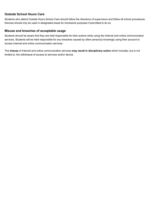#### **Outside School Hours Care**

Students who attend Outside Hours School Care should follow the directions of supervisors and follow all school procedures. Devices should only be used in designated areas for homework purposes if permitted to do so.

#### **Misuse and breaches of acceptable usage**

Students should be aware that they are held responsible for their actions while using the Internet and online communication services. Students will be held responsible for any breaches caused by other person(s) knowingly using their account to access Internet and online communication services.

The **misuse** of Internet and online communication services **may result in disciplinary action** which includes, but is not limited to, the withdrawal of access to services and/or device.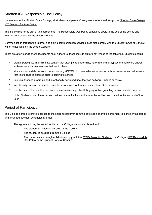## Stretton ICT Responsible Use Policy

Upon enrolment at Stretton State College, all students and parents/caregivers are required to sign the *Stretton State College ICT Responsible Use Policy.*

This policy also forms part of this agreement. The Responsible Use Policy conditions apply to the use of the device and Internet both on and off the school grounds.

Communication through the Internet and online communication services must also comply with the *Student Code of Conduct* which is available on the school website.

There are a few conditions that students must adhere to, these include but are not limited to the following. Students should not:

- create, participate in or circulate content that attempts to undermine, hack into and/or bypass the hardware and/or software security mechanisms that are in place
- share a mobile data network connection (e.g. 4G/5G) with themselves or others on school premises and will ensure that this feature is disabled prior to coming to school
- use unauthorised programs and intentionally download unauthorised software, images or music
- intentionally damage or disable computers, computer systems or Queensland DET networks
- use the device for unauthorised commercial activities, political lobbying, online gambling or any unlawful purpose
- Note: Students' use of Internet and online communication services can be audited and traced to the account of the user

#### Period of Participation

The College agrees to provide access to the student/caregiver from the date soon after this agreement is signed by all parties and arranged payment schedules are met.

The agreement may be ended earlier, at the College's absolute discretion, if:

- The student is no longer enrolled at the College
- The student is excluded from the College
- The parent and/or caregiver fails to comply with the **BYOD Rules for Students**, the College's *ICT Responsible* Use Policy or the Student Code of Conduct.